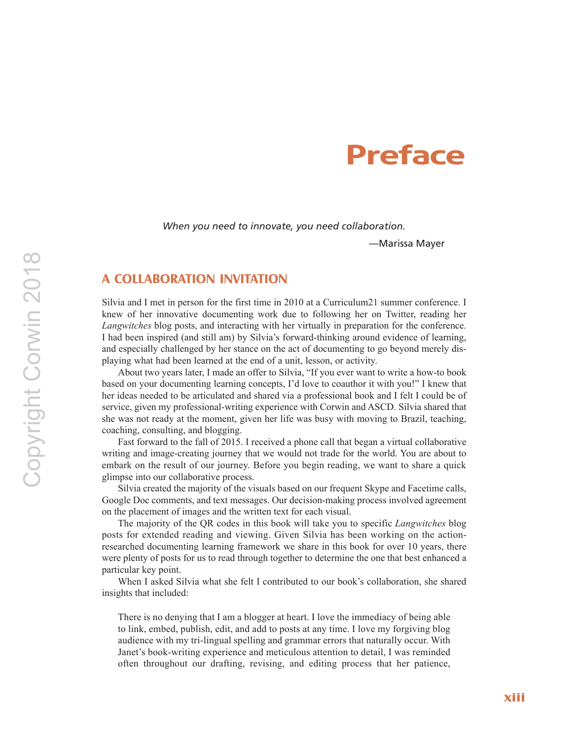# **Preface**

*When you need to innovate, you need collaboration.*

—Marissa Mayer

## **A COLLABORATION INVITATION**

Silvia and I met in person for the first time in 2010 at a Curriculum21 summer conference. I knew of her innovative documenting work due to following her on Twitter, reading her *Langwitches* blog posts, and interacting with her virtually in preparation for the conference. I had been inspired (and still am) by Silvia's forward-thinking around evidence of learning, and especially challenged by her stance on the act of documenting to go beyond merely displaying what had been learned at the end of a unit, lesson, or activity.

About two years later, I made an offer to Silvia, "If you ever want to write a how-to book based on your documenting learning concepts, I'd love to coauthor it with you!" I knew that her ideas needed to be articulated and shared via a professional book and I felt I could be of service, given my professional-writing experience with Corwin and ASCD. Silvia shared that she was not ready at the moment, given her life was busy with moving to Brazil, teaching, coaching, consulting, and blogging.

Fast forward to the fall of 2015. I received a phone call that began a virtual collaborative writing and image-creating journey that we would not trade for the world. You are about to embark on the result of our journey. Before you begin reading, we want to share a quick glimpse into our collaborative process.

Silvia created the majority of the visuals based on our frequent Skype and Facetime calls, Google Doc comments, and text messages. Our decision-making process involved agreement on the placement of images and the written text for each visual.

The majority of the QR codes in this book will take you to specific *Langwitches* blog posts for extended reading and viewing. Given Silvia has been working on the actionresearched documenting learning framework we share in this book for over 10 years, there were plenty of posts for us to read through together to determine the one that best enhanced a particular key point.

When I asked Silvia what she felt I contributed to our book's collaboration, she shared insights that included:

There is no denying that I am a blogger at heart. I love the immediacy of being able to link, embed, publish, edit, and add to posts at any time. I love my forgiving blog audience with my tri-lingual spelling and grammar errors that naturally occur. With Janet's book-writing experience and meticulous attention to detail, I was reminded often throughout our drafting, revising, and editing process that her patience,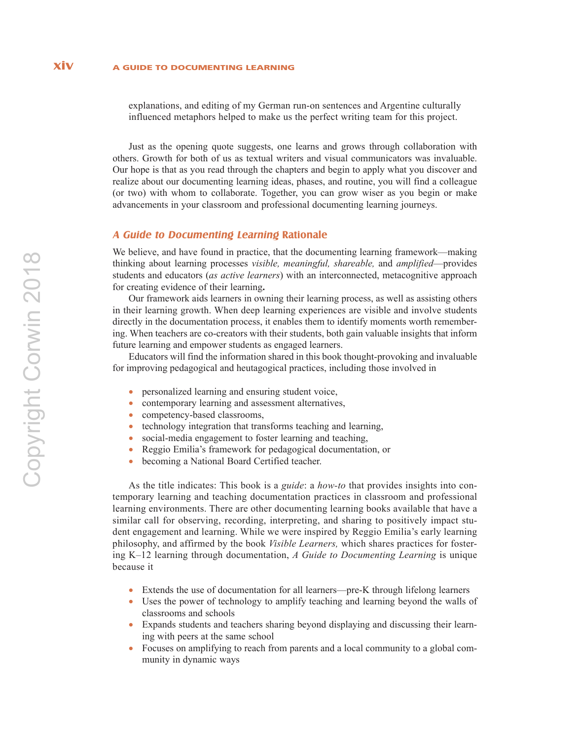explanations, and editing of my German run-on sentences and Argentine culturally influenced metaphors helped to make us the perfect writing team for this project.

Just as the opening quote suggests, one learns and grows through collaboration with others. Growth for both of us as textual writers and visual communicators was invaluable. Our hope is that as you read through the chapters and begin to apply what you discover and realize about our documenting learning ideas, phases, and routine, you will find a colleague (or two) with whom to collaborate. Together, you can grow wiser as you begin or make advancements in your classroom and professional documenting learning journeys.

### **A Guide to Documenting Learning Rationale**

We believe, and have found in practice, that the documenting learning framework—making thinking about learning processes *visible, meaningful, shareable,* and *amplified*—provides students and educators (*as active learners*) with an interconnected, metacognitive approach for creating evidence of their learning**.**

Our framework aids learners in owning their learning process, as well as assisting others in their learning growth. When deep learning experiences are visible and involve students directly in the documentation process, it enables them to identify moments worth remembering. When teachers are co-creators with their students, both gain valuable insights that inform future learning and empower students as engaged learners.

Educators will find the information shared in this book thought-provoking and invaluable for improving pedagogical and heutagogical practices, including those involved in

- personalized learning and ensuring student voice,
- contemporary learning and assessment alternatives,
- competency-based classrooms,
- technology integration that transforms teaching and learning,
- social-media engagement to foster learning and teaching,
- Reggio Emilia's framework for pedagogical documentation, or
- becoming a National Board Certified teacher.

As the title indicates: This book is a *guide*: a *how-to* that provides insights into contemporary learning and teaching documentation practices in classroom and professional learning environments. There are other documenting learning books available that have a similar call for observing, recording, interpreting, and sharing to positively impact student engagement and learning. While we were inspired by Reggio Emilia's early learning philosophy, and affirmed by the book *Visible Learners,* which shares practices for fostering K–12 learning through documentation, *A Guide to Documenting Learning* is unique because it

- Extends the use of documentation for all learners—pre-K through lifelong learners
- Uses the power of technology to amplify teaching and learning beyond the walls of classrooms and schools
- Expands students and teachers sharing beyond displaying and discussing their learning with peers at the same school
- Focuses on amplifying to reach from parents and a local community to a global community in dynamic ways